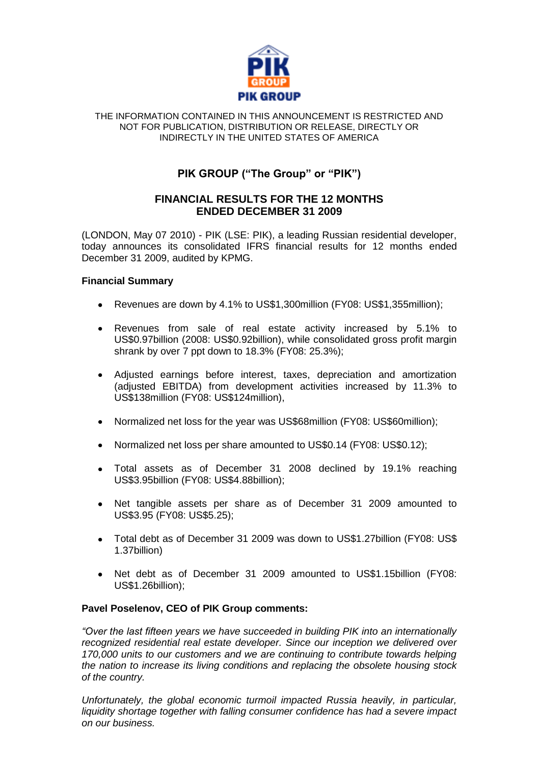

#### THE INFORMATION CONTAINED IN THIS ANNOUNCEMENT IS RESTRICTED AND NOT FOR PUBLICATION, DISTRIBUTION OR RELEASE, DIRECTLY OR INDIRECTLY IN THE UNITED STATES OF AMERICA

# **PIK GROUP ("The Group" or "PIK")**

## **FINANCIAL RESULTS FOR THE 12 MONTHS ENDED DECEMBER 31 2009**

(LONDON, May 07 2010) - PIK (LSE: PIK), a leading Russian residential developer, today announces its consolidated IFRS financial results for 12 months ended December 31 2009, audited by KPMG.

## **Financial Summary**

- Revenues are down by 4.1% to US\$1,300million (FY08: US\$1,355million);  $\bullet$
- Revenues from sale of real estate activity increased by 5.1% to US\$0.97billion (2008: US\$0.92billion), while consolidated gross profit margin shrank by over 7 ppt down to 18.3% (FY08: 25.3%);
- Adjusted earnings before interest, taxes, depreciation and amortization (adjusted EBITDA) from development activities increased by 11.3% to US\$138million (FY08: US\$124million),
- Normalized net loss for the year was US\$68million (FY08: US\$60million);
- Normalized net loss per share amounted to US\$0.14 (FY08: US\$0.12);
- Total assets as of December 31 2008 declined by 19.1% reaching US\$3.95billion (FY08: US\$4.88billion);
- Net tangible assets per share as of December 31 2009 amounted to  $\bullet$ US\$3.95 (FY08: US\$5.25);
- Total debt as of December 31 2009 was down to US\$1.27billion (FY08: US\$ 1.37billion)
- Net debt as of December 31 2009 amounted to US\$1.15billion (FY08:  $\bullet$ US\$1.26billion);

## **Pavel Poselenov, CEO of PIK Group comments:**

*"Over the last fifteen years we have succeeded in building PIK into an internationally recognized residential real estate developer. Since our inception we delivered over 170,000 units to our customers and we are continuing to contribute towards helping the nation to increase its living conditions and replacing the obsolete housing stock of the country.*

*Unfortunately, the global economic turmoil impacted Russia heavily, in particular,*  liquidity shortage together with falling consumer confidence has had a severe impact *on our business.*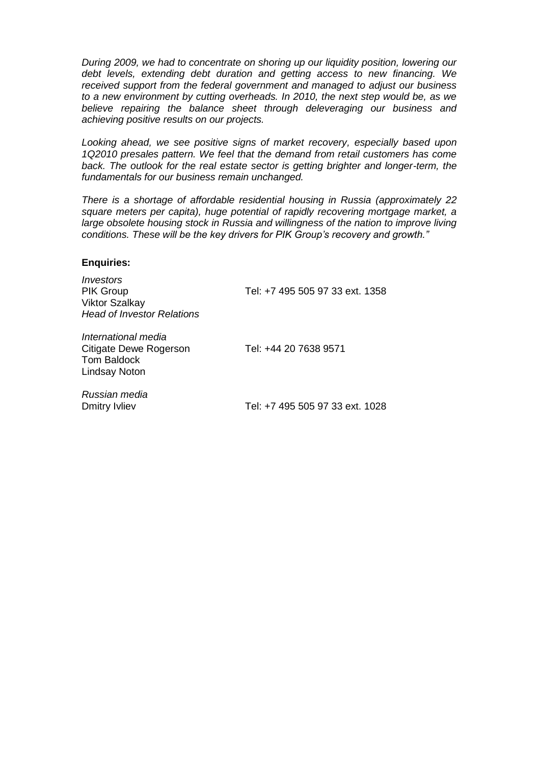*During 2009, we had to concentrate on shoring up our liquidity position, lowering our debt levels, extending debt duration and getting access to new financing. We received support from the federal government and managed to adjust our business to a new environment by cutting overheads. In 2010, the next step would be, as we believe repairing the balance sheet through deleveraging our business and achieving positive results on our projects.* 

*Looking ahead, we see positive signs of market recovery, especially based upon 1Q2010 presales pattern. We feel that the demand from retail customers has come*  back. The outlook for the real estate sector is getting brighter and longer-term, the *fundamentals for our business remain unchanged.* 

*There is a shortage of affordable residential housing in Russia (approximately 22 square meters per capita), huge potential of rapidly recovering mortgage market, a large obsolete housing stock in Russia and willingness of the nation to improve living conditions. These will be the key drivers for PIK Group's recovery and growth."*

#### **Enquiries:**

*Investors* PIK Group Tel: +7 495 505 97 33 ext. 1358 Viktor Szalkay *Head of Investor Relations International media* Citigate Dewe Rogerson Tel: +44 20 7638 9571 Tom Baldock Lindsay Noton *Russian media* Dmitry Ivliev Tel: +7 495 505 97 33 ext. 1028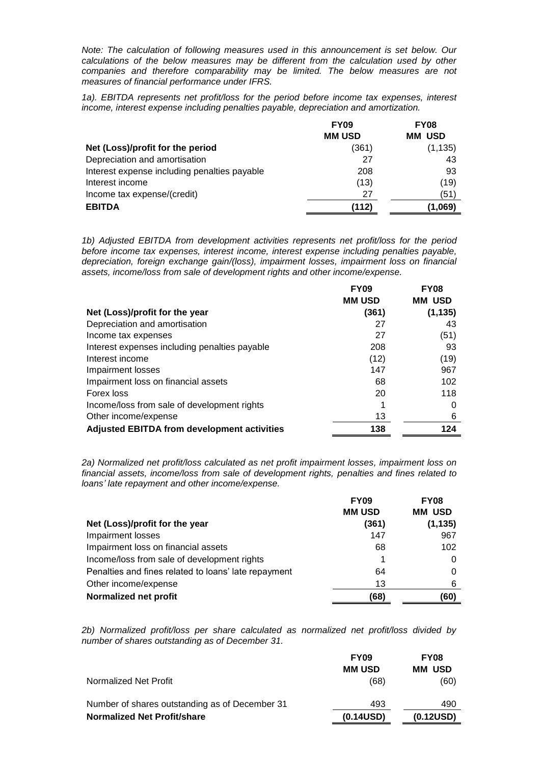*Note: The calculation of following measures used in this announcement is set below. Our calculations of the below measures may be different from the calculation used by other companies and therefore comparability may be limited. The below measures are not measures of financial performance under IFRS.* 

*1a). EBITDA represents net profit/loss for the period before income tax expenses, interest income, interest expense including penalties payable, depreciation and amortization.*

| <b>FY09</b>   | <b>FY08</b>      |
|---------------|------------------|
| <b>MM USD</b> | <b>USD</b><br>мм |
| (361)         | (1, 135)         |
| 27            | 43               |
| 208           | 93               |
| (13)          | (19)             |
| 27            | (51)             |
| (112)         | (1,069)          |
|               |                  |

*1b) Adjusted EBITDA from development activities represents net profit/loss for the period before income tax expenses, interest income, interest expense including penalties payable, depreciation, foreign exchange gain/(loss), impairment losses, impairment loss on financial assets, income/loss from sale of development rights and other income/expense.*

|                                                    | <b>FY09</b>   | <b>FY08</b>   |
|----------------------------------------------------|---------------|---------------|
|                                                    | <b>MM USD</b> | <b>MM USD</b> |
| Net (Loss)/profit for the year                     | (361)         | (1, 135)      |
| Depreciation and amortisation                      | 27            | 43            |
| Income tax expenses                                | 27            | (51)          |
| Interest expenses including penalties payable      | 208           | 93            |
| Interest income                                    | (12)          | (19)          |
| Impairment losses                                  | 147           | 967           |
| Impairment loss on financial assets                | 68            | 102           |
| Forex loss                                         | 20            | 118           |
| Income/loss from sale of development rights        |               | O             |
| Other income/expense                               | 13            | 6             |
| <b>Adjusted EBITDA from development activities</b> | 138           | 124           |

*2a) Normalized net profit/loss calculated as net profit impairment losses, impairment loss on financial assets, income/loss from sale of development rights, penalties and fines related to loans' late repayment and other income/expense.*

|                                                      | <b>FY09</b>   | <b>FY08</b>   |
|------------------------------------------------------|---------------|---------------|
|                                                      | <b>MM USD</b> | <b>MM USD</b> |
| Net (Loss)/profit for the year                       | (361)         | (1, 135)      |
| <b>Impairment losses</b>                             | 147           | 967           |
| Impairment loss on financial assets                  | 68            | 102           |
| Income/loss from sale of development rights          |               | 0             |
| Penalties and fines related to loans' late repayment | 64            |               |
| Other income/expense                                 | 13            | 6             |
| Normalized net profit                                | (68)          | (60)          |

*2b) Normalized profit/loss per share calculated as normalized net profit/loss divided by number of shares outstanding as of December 31.*

|                                                | <b>FY09</b>   | <b>FY08</b>   |
|------------------------------------------------|---------------|---------------|
|                                                | <b>MM USD</b> | <b>MM USD</b> |
| Normalized Net Profit                          | (68)          | (60)          |
| Number of shares outstanding as of December 31 | 493           | 490           |
| <b>Normalized Net Profit/share</b>             | (0.14USD)     | (0.12USD)     |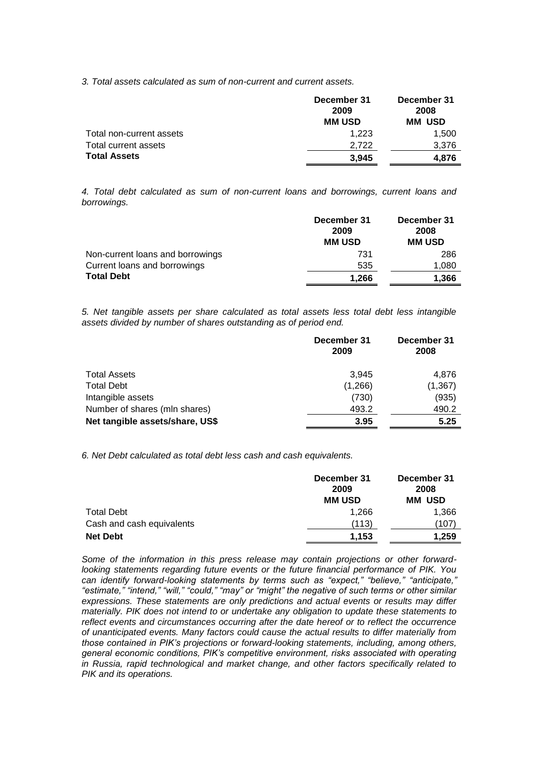*3. Total assets calculated as sum of non-current and current assets.*

|                          | December 31<br>2009 | December 31<br>2008 |
|--------------------------|---------------------|---------------------|
|                          | <b>MM USD</b>       | <b>MM USD</b>       |
| Total non-current assets | 1.223               | 1,500               |
| Total current assets     | 2.722               | 3,376               |
| <b>Total Assets</b>      | 3.945               | 4.876               |

*4. Total debt calculated as sum of non-current loans and borrowings, current loans and borrowings.*

|                                  | December 31<br>2009 | December 31<br>2008 |
|----------------------------------|---------------------|---------------------|
|                                  | <b>MM USD</b>       | <b>MM USD</b>       |
| Non-current loans and borrowings | 731                 | 286                 |
| Current loans and borrowings     | 535                 | 1,080               |
| <b>Total Debt</b>                | 1.266               | 1,366               |

*5. Net tangible assets per share calculated as total assets less total debt less intangible assets divided by number of shares outstanding as of period end.*

|                                 | December 31<br>2009 | December 31<br>2008 |
|---------------------------------|---------------------|---------------------|
| <b>Total Assets</b>             | 3.945               | 4,876               |
| <b>Total Debt</b>               | (1,266)             | (1, 367)            |
| Intangible assets               | (730)               | (935)               |
| Number of shares (mln shares)   | 493.2               | 490.2               |
| Net tangible assets/share, US\$ | 3.95                | 5.25                |

*6. Net Debt calculated as total debt less cash and cash equivalents.*

|                                              | December 31<br>2009<br><b>MM USD</b> | December 31<br>2008<br><b>MM USD</b> |
|----------------------------------------------|--------------------------------------|--------------------------------------|
| Total Debt                                   | 1.266<br>(113)                       | 1,366<br>(107                        |
| Cash and cash equivalents<br><b>Net Debt</b> | 1,153                                | 1,259                                |

*Some of the information in this press release may contain projections or other forwardlooking statements regarding future events or the future financial performance of PIK. You can identify forward-looking statements by terms such as "expect," "believe," "anticipate," "estimate," "intend," "will," "could," "may" or "might" the negative of such terms or other similar expressions. These statements are only predictions and actual events or results may differ materially. PIK does not intend to or undertake any obligation to update these statements to reflect events and circumstances occurring after the date hereof or to reflect the occurrence of unanticipated events. Many factors could cause the actual results to differ materially from those contained in PIK's projections or forward-looking statements, including, among others, general economic conditions, PIK's competitive environment, risks associated with operating in Russia, rapid technological and market change, and other factors specifically related to PIK and its operations.*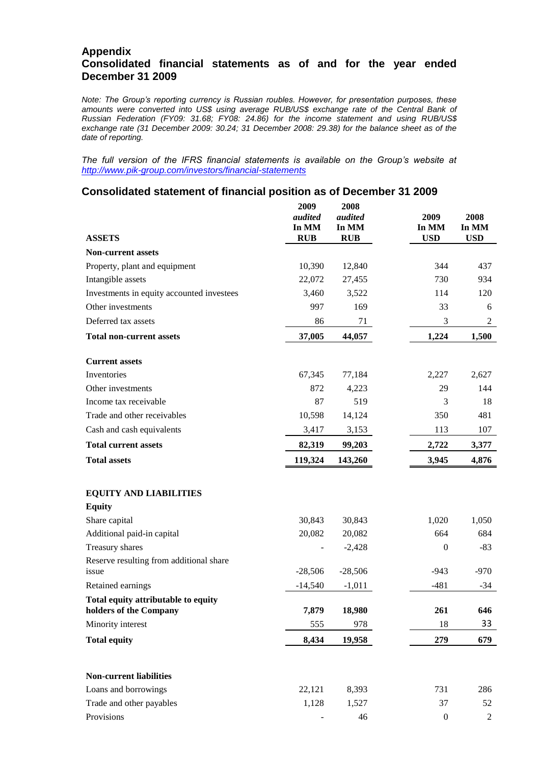### **Appendix Consolidated financial statements as of and for the year ended December 31 2009**

*Note: The Group's reporting currency is Russian roubles. However, for presentation purposes, these amounts were converted into US\$ using average RUB/US\$ exchange rate of the Central Bank of Russian Federation (FY09: 31.68; FY08: 24.86) for the income statement and using RUB/US\$ exchange rate (31 December 2009: 30.24; 31 December 2008: 29.38) for the balance sheet as of the date of reporting.*

*The full version of the IFRS financial statements is available on the Group's website at <http://www.pik-group.com/investors/financial-statements>*

### **Consolidated statement of financial position as of December 31 2009**

| <b>ASSETS</b>                                                 | 2009<br>audited<br>In MM<br><b>RUB</b> | 2008<br>audited<br>In MM<br><b>RUB</b> | 2009<br>In MM<br><b>USD</b> | 2008<br>In MM<br><b>USD</b> |
|---------------------------------------------------------------|----------------------------------------|----------------------------------------|-----------------------------|-----------------------------|
| <b>Non-current assets</b>                                     |                                        |                                        |                             |                             |
| Property, plant and equipment                                 | 10,390                                 | 12,840                                 | 344                         | 437                         |
| Intangible assets                                             | 22,072                                 | 27,455                                 | 730                         | 934                         |
| Investments in equity accounted investees                     | 3,460                                  | 3,522                                  | 114                         | 120                         |
| Other investments                                             | 997                                    | 169                                    | 33                          | 6                           |
| Deferred tax assets                                           | 86                                     | 71                                     | 3                           | $\overline{c}$              |
| <b>Total non-current assets</b>                               | 37,005                                 | 44,057                                 | 1,224                       | 1,500                       |
| <b>Current assets</b>                                         |                                        |                                        |                             |                             |
| Inventories                                                   | 67,345                                 | 77,184                                 | 2,227                       | 2,627                       |
| Other investments                                             | 872                                    | 4,223                                  | 29                          | 144                         |
| Income tax receivable                                         | 87                                     | 519                                    | 3                           | 18                          |
| Trade and other receivables                                   | 10,598                                 | 14,124                                 | 350                         | 481                         |
| Cash and cash equivalents                                     | 3,417                                  | 3,153                                  | 113                         | 107                         |
| <b>Total current assets</b>                                   | 82,319                                 | 99,203                                 | 2,722                       | 3,377                       |
| <b>Total assets</b>                                           | 119,324                                | 143,260                                | 3,945                       | 4,876                       |
| <b>EQUITY AND LIABILITIES</b><br><b>Equity</b>                |                                        |                                        |                             |                             |
| Share capital                                                 | 30,843                                 | 30,843                                 | 1,020                       | 1,050                       |
| Additional paid-in capital                                    | 20,082                                 | 20,082                                 | 664                         | 684                         |
| Treasury shares                                               |                                        | $-2,428$                               | $\boldsymbol{0}$            | $-83$                       |
| Reserve resulting from additional share<br>issue              | $-28,506$                              | $-28,506$                              | $-943$                      | $-970$                      |
| Retained earnings                                             | $-14,540$                              | $-1,011$                               | $-481$                      | $-34$                       |
| Total equity attributable to equity<br>holders of the Company | 7,879                                  | 18,980                                 | 261                         | 646                         |
| Minority interest                                             | 555                                    | 978                                    | 18                          | 33                          |
| <b>Total equity</b>                                           | 8,434                                  | 19,958                                 | 279                         | 679                         |
| <b>Non-current liabilities</b>                                |                                        |                                        |                             |                             |
| Loans and borrowings                                          | 22,121                                 | 8,393                                  | 731                         | 286                         |
| Trade and other payables                                      | 1,128                                  | 1,527                                  | 37                          | 52                          |
| Provisions                                                    |                                        | 46                                     | $\boldsymbol{0}$            | $\overline{2}$              |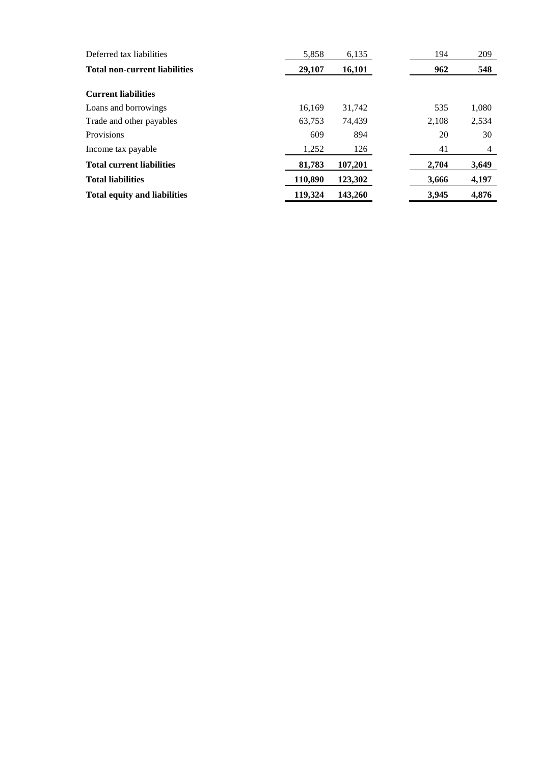| Deferred tax liabilities             | 5,858   | 6,135   | 194   | 209            |
|--------------------------------------|---------|---------|-------|----------------|
| <b>Total non-current liabilities</b> | 29,107  | 16,101  | 962   | 548            |
|                                      |         |         |       |                |
| <b>Current liabilities</b>           |         |         |       |                |
| Loans and borrowings                 | 16.169  | 31.742  | 535   | 1,080          |
| Trade and other payables             | 63.753  | 74.439  | 2.108 | 2,534          |
| Provisions                           | 609     | 894     | 20    | 30             |
| Income tax payable                   | 1,252   | 126     | 41    | $\overline{4}$ |
| <b>Total current liabilities</b>     | 81,783  | 107,201 | 2,704 | 3,649          |
| <b>Total liabilities</b>             | 110,890 | 123,302 | 3,666 | 4,197          |
| <b>Total equity and liabilities</b>  | 119,324 | 143,260 | 3,945 | 4,876          |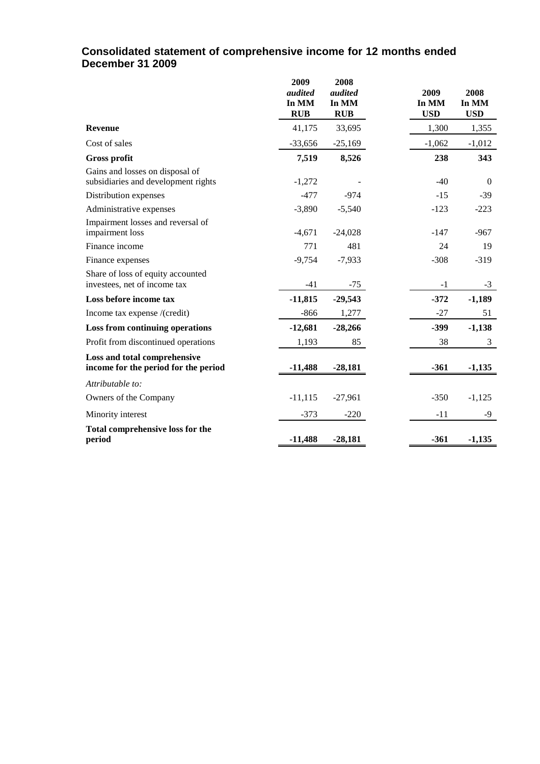## **Consolidated statement of comprehensive income for 12 months ended December 31 2009**

|                                                                        | 2009<br>audited<br>In MM<br><b>RUB</b> | 2008<br>audited<br>In MM<br><b>RUB</b> | 2009<br>In MM<br><b>USD</b> | 2008<br>In MM<br><b>USD</b> |
|------------------------------------------------------------------------|----------------------------------------|----------------------------------------|-----------------------------|-----------------------------|
| <b>Revenue</b>                                                         | 41,175                                 | 33,695                                 | 1,300                       | 1,355                       |
| Cost of sales                                                          | $-33,656$                              | $-25,169$                              | $-1,062$                    | $-1,012$                    |
| <b>Gross profit</b>                                                    | 7,519                                  | 8,526                                  | 238                         | 343                         |
| Gains and losses on disposal of<br>subsidiaries and development rights | $-1,272$                               |                                        | $-40$                       | $\theta$                    |
| Distribution expenses                                                  | $-477$                                 | $-974$                                 | $-15$                       | $-39$                       |
| Administrative expenses                                                | $-3,890$                               | $-5,540$                               | $-123$                      | $-223$                      |
| Impairment losses and reversal of<br>impairment loss                   | $-4,671$                               | $-24,028$                              | $-147$                      | $-967$                      |
| Finance income                                                         | 771                                    | 481                                    | 24                          | 19                          |
| Finance expenses                                                       | $-9,754$                               | $-7,933$                               | $-308$                      | $-319$                      |
| Share of loss of equity accounted<br>investees, net of income tax      | $-41$                                  | $-75$                                  | $-1$                        | $-3$                        |
| Loss before income tax                                                 | $-11,815$                              | $-29,543$                              | $-372$                      | $-1,189$                    |
| Income tax expense /(credit)                                           | $-866$                                 | 1,277                                  | $-27$                       | 51                          |
| Loss from continuing operations                                        | $-12,681$                              | $-28,266$                              | $-399$                      | $-1,138$                    |
| Profit from discontinued operations                                    | 1,193                                  | 85                                     | 38                          | 3                           |
| Loss and total comprehensive<br>income for the period for the period   | $-11,488$                              | $-28,181$                              | $-361$                      | $-1,135$                    |
| Attributable to:                                                       |                                        |                                        |                             |                             |
| Owners of the Company                                                  | $-11,115$                              | $-27,961$                              | $-350$                      | $-1,125$                    |
| Minority interest                                                      | $-373$                                 | $-220$                                 | $-11$                       | -9                          |
| Total comprehensive loss for the<br>period                             | $-11,488$                              | $-28,181$                              | $-361$                      | $-1,135$                    |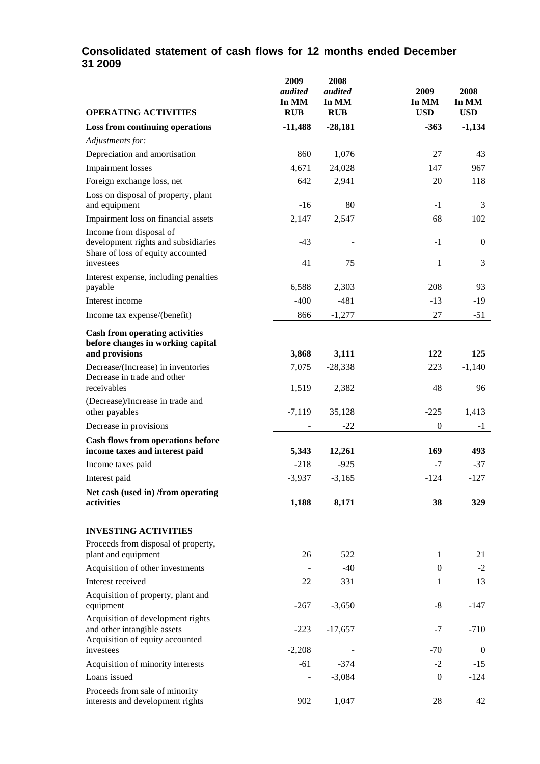# **Consolidated statement of cash flows for 12 months ended December 31 2009**

| <b>OPERATING ACTIVITIES</b>                                                                         | 2009<br>audited<br>In MM<br><b>RUB</b> | 2008<br>audited<br>In MM<br><b>RUB</b> | 2009<br>In MM<br><b>USD</b> | 2008<br>In MM<br><b>USD</b> |
|-----------------------------------------------------------------------------------------------------|----------------------------------------|----------------------------------------|-----------------------------|-----------------------------|
| <b>Loss from continuing operations</b>                                                              | $-11,488$                              | $-28,181$                              | $-363$                      | $-1,134$                    |
| Adjustments for:                                                                                    |                                        |                                        |                             |                             |
| Depreciation and amortisation                                                                       | 860                                    | 1,076                                  | 27                          | 43                          |
| <b>Impairment</b> losses                                                                            | 4,671                                  | 24,028                                 | 147                         | 967                         |
| Foreign exchange loss, net                                                                          | 642                                    | 2,941                                  | 20                          | 118                         |
| Loss on disposal of property, plant<br>and equipment                                                | $-16$                                  | 80                                     | $-1$                        | 3                           |
| Impairment loss on financial assets                                                                 | 2,147                                  | 2,547                                  | 68                          | 102                         |
| Income from disposal of                                                                             |                                        |                                        |                             |                             |
| development rights and subsidiaries<br>Share of loss of equity accounted                            | $-43$                                  |                                        | $-1$                        | $\boldsymbol{0}$            |
| investees                                                                                           | 41                                     | 75                                     | $\mathbf{1}$                | 3                           |
| Interest expense, including penalties<br>payable                                                    | 6,588                                  | 2,303                                  | 208                         | 93                          |
| Interest income                                                                                     | $-400$                                 | $-481$                                 | $-13$                       | $-19$                       |
| Income tax expense/(benefit)                                                                        | 866                                    | $-1,277$                               | 27                          | $-51$                       |
| <b>Cash from operating activities</b><br>before changes in working capital<br>and provisions        | 3,868                                  | 3,111                                  | 122                         | 125                         |
| Decrease/(Increase) in inventories                                                                  | 7,075                                  | $-28,338$                              | 223                         | $-1,140$                    |
| Decrease in trade and other<br>receivables                                                          | 1,519                                  | 2,382                                  | 48                          | 96                          |
| (Decrease)/Increase in trade and<br>other payables                                                  | $-7,119$                               | 35,128                                 | $-225$                      | 1,413                       |
| Decrease in provisions                                                                              |                                        | $-22$                                  | $\boldsymbol{0}$            | $-1$                        |
| Cash flows from operations before                                                                   |                                        |                                        |                             |                             |
| income taxes and interest paid                                                                      | 5,343                                  | 12,261                                 | 169                         | 493                         |
| Income taxes paid                                                                                   | $-218$                                 | $-925$                                 | $-7$                        | $-37$                       |
| Interest paid                                                                                       | $-3,937$                               | $-3,165$                               | $-124$                      | $-127$                      |
| Net cash (used in) /from operating<br>activities                                                    | 1,188                                  | 8,171                                  | 38                          | 329                         |
| <b>INVESTING ACTIVITIES</b>                                                                         |                                        |                                        |                             |                             |
| Proceeds from disposal of property,                                                                 |                                        |                                        |                             |                             |
| plant and equipment                                                                                 | 26                                     | 522                                    | 1                           | 21                          |
| Acquisition of other investments                                                                    | $\overline{\phantom{a}}$               | $-40$                                  | $\mathbf{0}$                | $-2$                        |
| Interest received                                                                                   | 22                                     | 331                                    | 1                           | 13                          |
| Acquisition of property, plant and<br>equipment                                                     | $-267$                                 | $-3,650$                               | $-8$                        | $-147$                      |
| Acquisition of development rights<br>and other intangible assets<br>Acquisition of equity accounted | $-223$                                 | $-17,657$                              | $-7$                        | $-710$                      |
| investees                                                                                           | $-2,208$                               |                                        | $-70$                       | $\boldsymbol{0}$            |
| Acquisition of minority interests                                                                   | $-61$                                  | $-374$                                 | $-2$                        | $-15$                       |
| Loans issued                                                                                        |                                        | $-3,084$                               | $\boldsymbol{0}$            | $-124$                      |
| Proceeds from sale of minority<br>interests and development rights                                  | 902                                    | 1,047                                  | 28                          | 42                          |